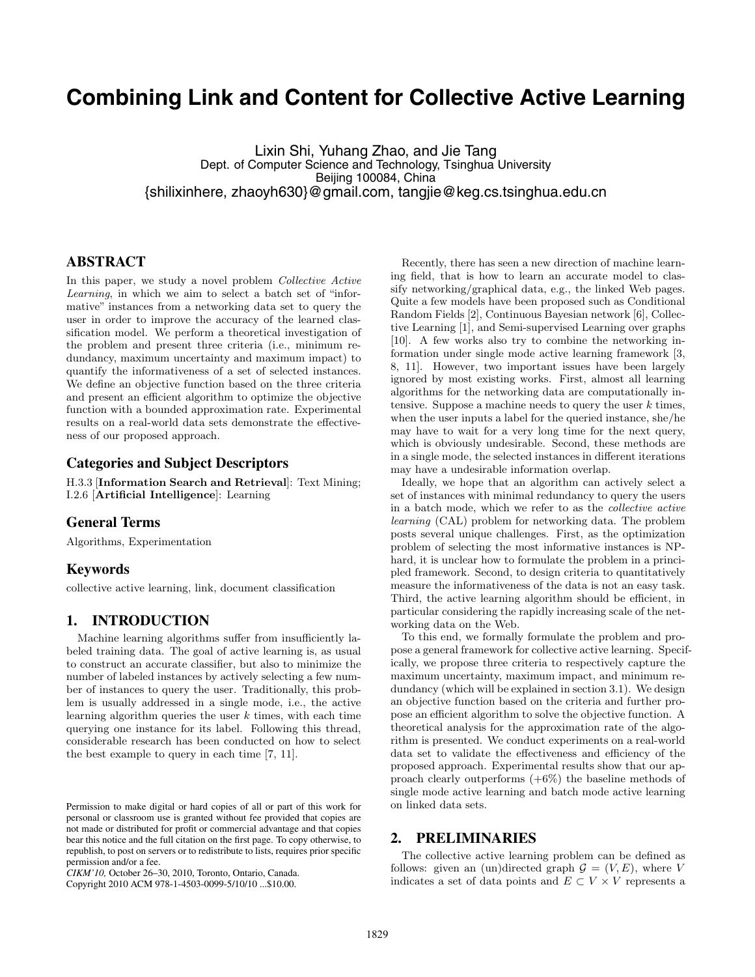# **Combining Link and Content for Collective Active Learning**

Lixin Shi, Yuhang Zhao, and Jie Tang Dept. of Computer Science and Technology, Tsinghua University Beijing 100084, China {shilixinhere, zhaoyh630}@gmail.com, tangjie@keg.cs.tsinghua.edu.cn

# **ABSTRACT**

In this paper, we study a novel problem *Collective Active Learning*, in which we aim to select a batch set of "informative" instances from a networking data set to query the user in order to improve the accuracy of the learned classification model. We perform a theoretical investigation of the problem and present three criteria (i.e., minimum redundancy, maximum uncertainty and maximum impact) to quantify the informativeness of a set of selected instances. We define an objective function based on the three criteria and present an efficient algorithm to optimize the objective function with a bounded approximation rate. Experimental results on a real-world data sets demonstrate the effectiveness of our proposed approach.

## **Categories and Subject Descriptors**

H.3.3 [**Information Search and Retrieval**]: Text Mining; I.2.6 [**Artificial Intelligence**]: Learning

#### **General Terms**

Algorithms, Experimentation

#### **Keywords**

collective active learning, link, document classification

## **1. INTRODUCTION**

Machine learning algorithms suffer from insufficiently labeled training data. The goal of active learning is, as usual to construct an accurate classifier, but also to minimize the number of labeled instances by actively selecting a few number of instances to query the user. Traditionally, this problem is usually addressed in a single mode, i.e., the active learning algorithm queries the user  $k$  times, with each time querying one instance for its label. Following this thread, considerable research has been conducted on how to select the best example to query in each time [7, 11].

Copyright 2010 ACM 978-1-4503-0099-5/10/10 ...\$10.00.

Recently, there has seen a new direction of machine learning field, that is how to learn an accurate model to classify networking/graphical data, e.g., the linked Web pages. Quite a few models have been proposed such as Conditional Random Fields [2], Continuous Bayesian network [6], Collective Learning [1], and Semi-supervised Learning over graphs [10]. A few works also try to combine the networking information under single mode active learning framework [3, 8, 11]. However, two important issues have been largely ignored by most existing works. First, almost all learning algorithms for the networking data are computationally intensive. Suppose a machine needs to query the user  $k$  times, when the user inputs a label for the queried instance, she/he may have to wait for a very long time for the next query, which is obviously undesirable. Second, these methods are in a single mode, the selected instances in different iterations may have a undesirable information overlap.

Ideally, we hope that an algorithm can actively select a set of instances with minimal redundancy to query the users in a batch mode, which we refer to as the *collective active learning* (CAL) problem for networking data. The problem posts several unique challenges. First, as the optimization problem of selecting the most informative instances is NPhard, it is unclear how to formulate the problem in a principled framework. Second, to design criteria to quantitatively measure the informativeness of the data is not an easy task. Third, the active learning algorithm should be efficient, in particular considering the rapidly increasing scale of the networking data on the Web.

To this end, we formally formulate the problem and propose a general framework for collective active learning. Specifically, we propose three criteria to respectively capture the maximum uncertainty, maximum impact, and minimum redundancy (which will be explained in section 3.1). We design an objective function based on the criteria and further propose an efficient algorithm to solve the objective function. A theoretical analysis for the approximation rate of the algorithm is presented. We conduct experiments on a real-world data set to validate the effectiveness and efficiency of the proposed approach. Experimental results show that our approach clearly outperforms (+6%) the baseline methods of single mode active learning and batch mode active learning on linked data sets.

## **2. PRELIMINARIES**

The collective active learning problem can be defined as follows: given an (un)directed graph  $\mathcal{G} = (V, E)$ , where V indicates a set of data points and  $E \subset V \times V$  represents a

Permission to make digital or hard copies of all or part of this work for personal or classroom use is granted without fee provided that copies are not made or distributed for profit or commercial advantage and that copies bear this notice and the full citation on the first page. To copy otherwise, to republish, to post on servers or to redistribute to lists, requires prior specific permission and/or a fee.

*CIKM'10,* October 26–30, 2010, Toronto, Ontario, Canada.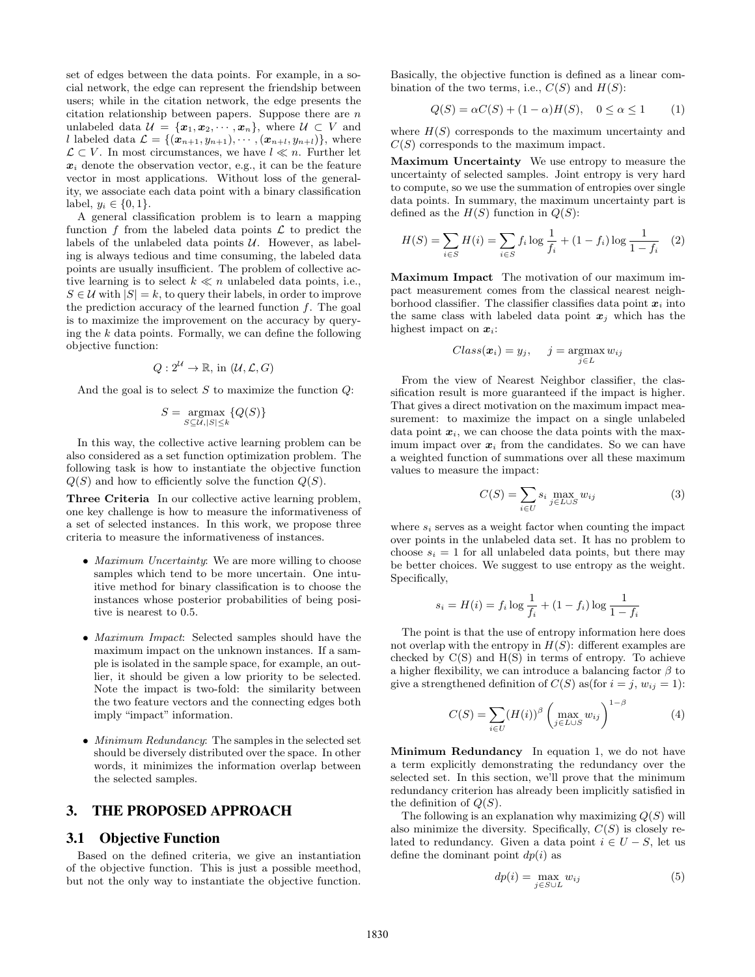set of edges between the data points. For example, in a social network, the edge can represent the friendship between users; while in the citation network, the edge presents the citation relationship between papers. Suppose there are  $n$ unlabeled data  $\mathcal{U} = \{\mathbf{x}_1, \mathbf{x}_2, \cdots, \mathbf{x}_n\}$ , where  $\mathcal{U} \subset V$  and l labeled data  $\mathcal{L} = \{(\boldsymbol{x}_{n+1}, y_{n+1}), \cdots, (\boldsymbol{x}_{n+l}, y_{n+l})\},\$  where  $\mathcal{L} \subset V$ . In most circumstances, we have  $l \ll n$ . Further let  $x_i$  denote the observation vector, e.g., it can be the feature vector in most applications. Without loss of the generality, we associate each data point with a binary classification label,  $y_i \in \{0, 1\}.$ 

A general classification problem is to learn a mapping function f from the labeled data points  $\mathcal L$  to predict the labels of the unlabeled data points  $U$ . However, as labeling is always tedious and time consuming, the labeled data points are usually insufficient. The problem of collective active learning is to select  $k \ll n$  unlabeled data points, i.e.,  $S \in \mathcal{U}$  with  $|S| = k$ , to query their labels, in order to improve the prediction accuracy of the learned function  $f$ . The goal is to maximize the improvement on the accuracy by querying the  $k$  data points. Formally, we can define the following objective function:

$$
Q: 2^{\mathcal{U}} \to \mathbb{R}, \text{ in } (\mathcal{U}, \mathcal{L}, G)
$$

And the goal is to select  $S$  to maximize the function  $Q$ :

$$
S = \underset{S \subseteq \mathcal{U}, |S| \le k}{\operatorname{argmax}} \{Q(S)\}
$$

In this way, the collective active learning problem can be also considered as a set function optimization problem. The following task is how to instantiate the objective function  $Q(S)$  and how to efficiently solve the function  $Q(S)$ .

**Three Criteria** In our collective active learning problem, one key challenge is how to measure the informativeness of a set of selected instances. In this work, we propose three criteria to measure the informativeness of instances.

- *Maximum Uncertainty*: We are more willing to choose samples which tend to be more uncertain. One intuitive method for binary classification is to choose the instances whose posterior probabilities of being positive is nearest to 0.5.
- *Maximum Impact*: Selected samples should have the maximum impact on the unknown instances. If a sample is isolated in the sample space, for example, an outlier, it should be given a low priority to be selected. Note the impact is two-fold: the similarity between the two feature vectors and the connecting edges both imply "impact" information.
- *Minimum Redundancy*: The samples in the selected set should be diversely distributed over the space. In other words, it minimizes the information overlap between the selected samples.

# **3. THE PROPOSED APPROACH**

## **3.1 Objective Function**

Based on the defined criteria, we give an instantiation of the objective function. This is just a possible meethod, but not the only way to instantiate the objective function.

Basically, the objective function is defined as a linear combination of the two terms, i.e.,  $C(S)$  and  $H(S)$ :

$$
Q(S) = \alpha C(S) + (1 - \alpha)H(S), \quad 0 \le \alpha \le 1 \tag{1}
$$

where  $H(S)$  corresponds to the maximum uncertainty and  $C(S)$  corresponds to the maximum impact.

**Maximum Uncertainty** We use entropy to measure the uncertainty of selected samples. Joint entropy is very hard to compute, so we use the summation of entropies over single data points. In summary, the maximum uncertainty part is defined as the  $H(S)$  function in  $Q(S)$ :

$$
H(S) = \sum_{i \in S} H(i) = \sum_{i \in S} f_i \log \frac{1}{f_i} + (1 - f_i) \log \frac{1}{1 - f_i} \quad (2)
$$

**Maximum Impact** The motivation of our maximum impact measurement comes from the classical nearest neighborhood classifier. The classifier classifies data point  $x_i$  into the same class with labeled data point  $x_i$  which has the highest impact on  $x_i$ :

$$
Class(\boldsymbol{x}_i) = y_j, \quad j = \operatorname*{argmax}_{j \in L} w_{ij}
$$

From the view of Nearest Neighbor classifier, the classification result is more guaranteed if the impact is higher. That gives a direct motivation on the maximum impact measurement: to maximize the impact on a single unlabeled data point  $x_i$ , we can choose the data points with the maximum impact over  $x_i$  from the candidates. So we can have a weighted function of summations over all these maximum values to measure the impact:

$$
C(S) = \sum_{i \in U} s_i \max_{j \in L \cup S} w_{ij}
$$
 (3)

where  $s_i$  serves as a weight factor when counting the impact over points in the unlabeled data set. It has no problem to choose  $s_i = 1$  for all unlabeled data points, but there may be better choices. We suggest to use entropy as the weight. Specifically,

$$
s_i = H(i) = f_i \log \frac{1}{f_i} + (1 - f_i) \log \frac{1}{1 - f_i}
$$

The point is that the use of entropy information here does not overlap with the entropy in  $H(S)$ : different examples are checked by  $C(S)$  and  $H(S)$  in terms of entropy. To achieve a higher flexibility, we can introduce a balancing factor  $\beta$  to give a strengthened definition of  $C(S)$  as(for  $i = j, w_{ij} = 1$ ):

$$
C(S) = \sum_{i \in U} (H(i))^{\beta} \left( \max_{j \in L \cup S} w_{ij} \right)^{1-\beta} \tag{4}
$$

**Minimum Redundancy** In equation 1, we do not have a term explicitly demonstrating the redundancy over the selected set. In this section, we'll prove that the minimum redundancy criterion has already been implicitly satisfied in the definition of  $Q(S)$ .

The following is an explanation why maximizing  $Q(S)$  will also minimize the diversity. Specifically,  $C(S)$  is closely related to redundancy. Given a data point  $i \in U - S$ , let us define the dominant point  $dp(i)$  as

$$
dp(i) = \max_{j \in S \cup L} w_{ij} \tag{5}
$$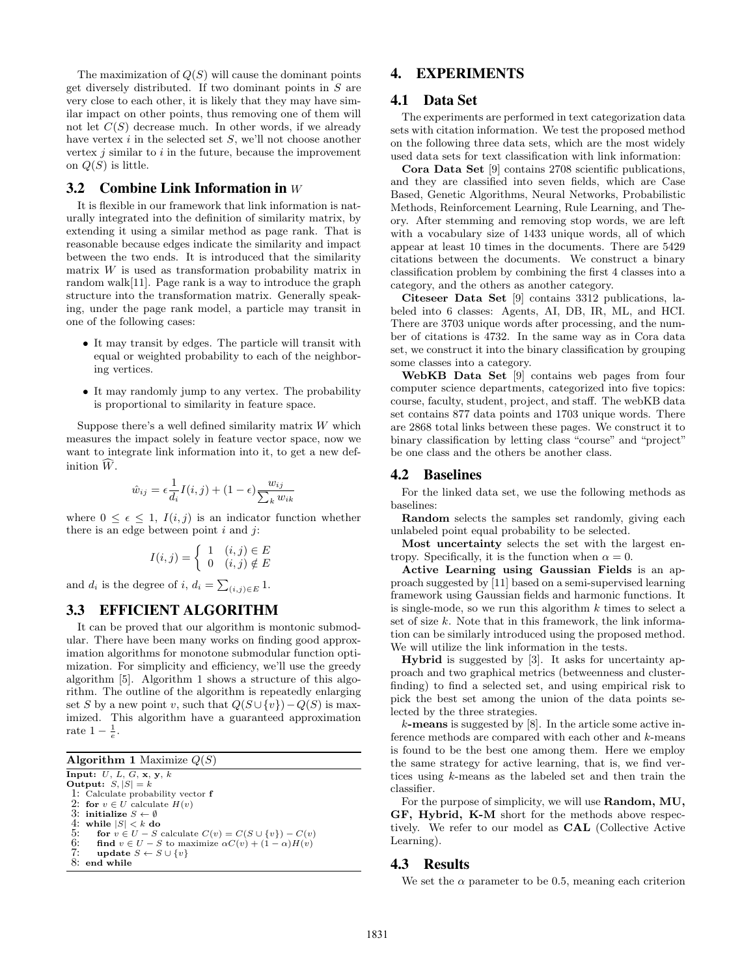The maximization of  $Q(S)$  will cause the dominant points get diversely distributed. If two dominant points in S are very close to each other, it is likely that they may have similar impact on other points, thus removing one of them will not let  $C(S)$  decrease much. In other words, if we already have vertex  $i$  in the selected set  $S$ , we'll not choose another vertex  $j$  similar to  $i$  in the future, because the improvement on  $Q(S)$  is little.

#### **3.2 Combine Link Information in** W

It is flexible in our framework that link information is naturally integrated into the definition of similarity matrix, by extending it using a similar method as page rank. That is reasonable because edges indicate the similarity and impact between the two ends. It is introduced that the similarity matrix W is used as transformation probability matrix in random walk[11]. Page rank is a way to introduce the graph structure into the transformation matrix. Generally speaking, under the page rank model, a particle may transit in one of the following cases:

- It may transit by edges. The particle will transit with equal or weighted probability to each of the neighboring vertices.
- It may randomly jump to any vertex. The probability is proportional to similarity in feature space.

Suppose there's a well defined similarity matrix  $W$  which measures the impact solely in feature vector space, now we want to integrate link information into it, to get a new definition  $\widehat{W}$ .

$$
\hat{w}_{ij} = \epsilon \frac{1}{d_i} I(i, j) + (1 - \epsilon) \frac{w_{ij}}{\sum_k w_{ik}}
$$

where  $0 \leq \epsilon \leq 1$ ,  $I(i, j)$  is an indicator function whether there is an edge between point  $i$  and  $j$ :

$$
I(i,j) = \begin{cases} 1 & (i,j) \in E \\ 0 & (i,j) \notin E \end{cases}
$$

and  $d_i$  is the degree of  $i, d_i = \sum_{(i,j) \in E} 1$ .

# **3.3 EFFICIENT ALGORITHM**

It can be proved that our algorithm is montonic submodular. There have been many works on finding good approximation algorithms for monotone submodular function optimization. For simplicity and efficiency, we'll use the greedy algorithm [5]. Algorithm 1 shows a structure of this algorithm. The outline of the algorithm is repeatedly enlarging set S by a new point v, such that  $Q(S \cup \{v\}) - Q(S)$  is maximized. This algorithm have a guaranteed approximation rate  $1-\frac{1}{e}$ .

| Algorithm 1 Maximize $Q(S)$ |  |
|-----------------------------|--|
|-----------------------------|--|

**Input:** U, L, G, **x**, **y**, k **Output:**  $S$ ,  $|S| = k$ 1: Calculate probability vector **f** 2: **for**  $v \in U$  calculate  $H(v)$ <br>3: **initialize**  $S \leftarrow \emptyset$ 3: **initialize**  $S \leftarrow \emptyset$ <br>4: while  $|S| < k$  do 4: while  $|S| < k$  do<br>5: for  $v \in U - S$ for  $v \in U - S$  calculate  $C(v) = C(S \cup \{v\}) - C(v)$ 6: **find**  $v \in U - S$  to maximize  $\alpha C(v) + (1 - \alpha)H(v)$ update  $S \leftarrow S \cup \{v\}$ 8: **end while**

## **4. EXPERIMENTS**

#### **4.1 Data Set**

The experiments are performed in text categorization data sets with citation information. We test the proposed method on the following three data sets, which are the most widely used data sets for text classification with link information:

**Cora Data Set** [9] contains 2708 scientific publications, and they are classified into seven fields, which are Case Based, Genetic Algorithms, Neural Networks, Probabilistic Methods, Reinforcement Learning, Rule Learning, and Theory. After stemming and removing stop words, we are left with a vocabulary size of 1433 unique words, all of which appear at least 10 times in the documents. There are 5429 citations between the documents. We construct a binary classification problem by combining the first 4 classes into a category, and the others as another category.

**Citeseer Data Set** [9] contains 3312 publications, labeled into 6 classes: Agents, AI, DB, IR, ML, and HCI. There are 3703 unique words after processing, and the number of citations is 4732. In the same way as in Cora data set, we construct it into the binary classification by grouping some classes into a category.

**WebKB Data Set** [9] contains web pages from four computer science departments, categorized into five topics: course, faculty, student, project, and staff. The webKB data set contains 877 data points and 1703 unique words. There are 2868 total links between these pages. We construct it to binary classification by letting class "course" and "project" be one class and the others be another class.

#### **4.2 Baselines**

For the linked data set, we use the following methods as baselines:

**Random** selects the samples set randomly, giving each unlabeled point equal probability to be selected.

**Most uncertainty** selects the set with the largest entropy. Specifically, it is the function when  $\alpha = 0$ .

**Active Learning using Gaussian Fields** is an approach suggested by [11] based on a semi-supervised learning framework using Gaussian fields and harmonic functions. It is single-mode, so we run this algorithm  $k$  times to select a set of size  $k$ . Note that in this framework, the link information can be similarly introduced using the proposed method. We will utilize the link information in the tests.

**Hybrid** is suggested by [3]. It asks for uncertainty approach and two graphical metrics (betweenness and clusterfinding) to find a selected set, and using empirical risk to pick the best set among the union of the data points selected by the three strategies.

k**-means** is suggested by [8]. In the article some active inference methods are compared with each other and k-means is found to be the best one among them. Here we employ the same strategy for active learning, that is, we find vertices using k-means as the labeled set and then train the classifier.

For the purpose of simplicity, we will use **Random, MU, GF, Hybrid, K-M** short for the methods above respectively. We refer to our model as **CAL** (Collective Active Learning).

#### **4.3 Results**

We set the  $\alpha$  parameter to be 0.5, meaning each criterion